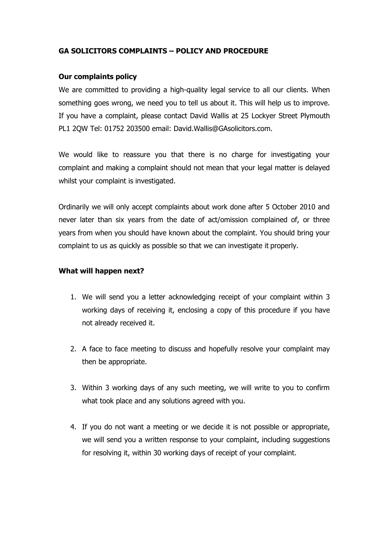## **GA SOLICITORS COMPLAINTS – POLICY AND PROCEDURE**

## **Our complaints policy**

We are committed to providing a high-quality legal service to all our clients. When something goes wrong, we need you to tell us about it. This will help us to improve. If you have a complaint, please contact David Wallis at 25 Lockyer Street Plymouth PL1 2QW Tel: 01752 203500 email: David.Wallis@GAsolicitors.com.

We would like to reassure you that there is no charge for investigating your complaint and making a complaint should not mean that your legal matter is delayed whilst your complaint is investigated.

Ordinarily we will only accept complaints about work done after 5 October 2010 and never later than six years from the date of act/omission complained of, or three years from when you should have known about the complaint. You should bring your complaint to us as quickly as possible so that we can investigate it properly.

## **What will happen next?**

- 1. We will send you a letter acknowledging receipt of your complaint within 3 working days of receiving it, enclosing a copy of this procedure if you have not already received it.
- 2. A face to face meeting to discuss and hopefully resolve your complaint may then be appropriate.
- 3. Within 3 working days of any such meeting, we will write to you to confirm what took place and any solutions agreed with you.
- 4. If you do not want a meeting or we decide it is not possible or appropriate, we will send you a written response to your complaint, including suggestions for resolving it, within 30 working days of receipt of your complaint.